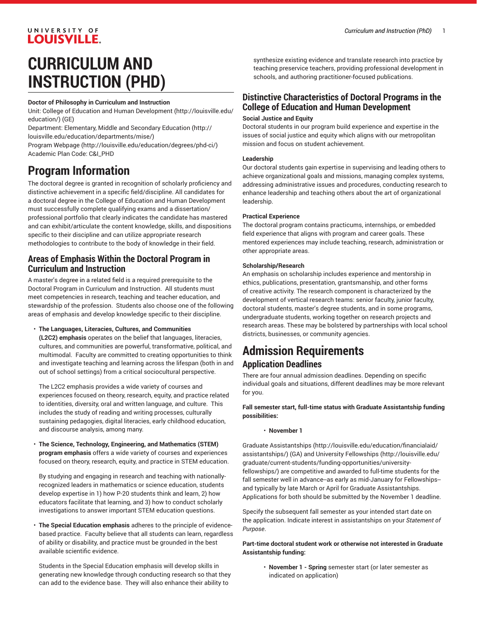# **CURRICULUM AND INSTRUCTION (PHD)**

UNIVERSITY OF **LOUISVILLE.** 

#### **Doctor of Philosophy in Curriculum and Instruction**

Unit: College of Education and Human [Development \(http://louisville.edu/](http://louisville.edu/education/) [education/](http://louisville.edu/education/)) (GE)

Department: [Elementary,](http://louisville.edu/education/departments/mise/) Middle and Secondary Education ([http://](http://louisville.edu/education/departments/mise/) [louisville.edu/education/departments/mise/](http://louisville.edu/education/departments/mise/))

Program [Webpage](http://louisville.edu/education/degrees/phd-ci/) [\(http://louisville.edu/education/degrees/phd-ci/](http://louisville.edu/education/degrees/phd-ci/)) Academic Plan Code: C&I\_PHD

# **Program Information**

The doctoral degree is granted in recognition of scholarly proficiency and distinctive achievement in a specific field/discipline. All candidates for a doctoral degree in the College of Education and Human Development must successfully complete qualifying exams and a dissertation/ professional portfolio that clearly indicates the candidate has mastered and can exhibit/articulate the content knowledge, skills, and dispositions specific to their discipline and can utilize appropriate research methodologies to contribute to the body of knowledge in their field.

### **Areas of Emphasis Within the Doctoral Program in Curriculum and Instruction**

A master's degree in a related field is a required prerequisite to the Doctoral Program in Curriculum and Instruction. All students must meet competencies in research, teaching and teacher education, and stewardship of the profession. Students also choose one of the following areas of emphasis and develop knowledge specific to their discipline.

#### • **The Languages, Literacies, Cultures, and Communities**

**(L2C2) emphasis** operates on the belief that languages, literacies, cultures, and communities are powerful, transformative, political, and multimodal. Faculty are committed to creating opportunities to think and investigate teaching and learning across the lifespan (both in and out of school settings) from a critical sociocultural perspective.

The L2C2 emphasis provides a wide variety of courses and experiences focused on theory, research, equity, and practice related to identities, diversity, oral and written language, and culture. This includes the study of reading and writing processes, culturally sustaining pedagogies, digital literacies, early childhood education, and discourse analysis, among many.

• **The Science, Technology, Engineering, and Mathematics (STEM) program emphasis** offers a wide variety of courses and experiences focused on theory, research, equity, and practice in STEM education.

By studying and engaging in research and teaching with nationallyrecognized leaders in mathematics or science education, students develop expertise in 1) how P-20 students think and learn, 2) how educators facilitate that learning, and 3) how to conduct scholarly investigations to answer important STEM education questions.

• **The Special Education emphasis** adheres to the principle of evidencebased practice. Faculty believe that all students can learn, regardless of ability or disability, and practice must be grounded in the best available scientific evidence.

Students in the Special Education emphasis will develop skills in generating new knowledge through conducting research so that they can add to the evidence base. They will also enhance their ability to

synthesize existing evidence and translate research into practice by teaching preservice teachers, providing professional development in schools, and authoring practitioner-focused publications.

### **Distinctive Characteristics of Doctoral Programs in the College of Education and Human Development**

#### **Social Justice and Equity**

Doctoral students in our program build experience and expertise in the issues of social justice and equity which aligns with our metropolitan mission and focus on student achievement.

#### **Leadership**

Our doctoral students gain expertise in supervising and leading others to achieve organizational goals and missions, managing complex systems, addressing administrative issues and procedures, conducting research to enhance leadership and teaching others about the art of organizational leadership.

#### **Practical Experience**

The doctoral program contains practicums, internships, or embedded field experience that aligns with program and career goals. These mentored experiences may include teaching, research, administration or other appropriate areas.

#### **Scholarship/Research**

An emphasis on scholarship includes experience and mentorship in ethics, publications, presentation, grantsmanship, and other forms of creative activity. The research component is characterized by the development of vertical research teams: senior faculty, junior faculty, doctoral students, master's degree students, and in some programs, undergraduate students, working together on research projects and research areas. These may be bolstered by partnerships with local school districts, businesses, or community agencies.

# **Admission Requirements Application Deadlines**

There are four annual admission deadlines. Depending on specific individual goals and situations, different deadlines may be more relevant for you.

#### **Fall semester start, full-time status with Graduate Assistantship funding possibilities:**

• **November 1**

[Graduate Assistantships](http://louisville.edu/education/financialaid/assistantships/) ([http://louisville.edu/education/financialaid/](http://louisville.edu/education/financialaid/assistantships/) [assistantships/\)](http://louisville.edu/education/financialaid/assistantships/) (GA) and University [Fellowships](http://louisville.edu/graduate/current-students/funding-opportunities/university-fellowships/) ([http://louisville.edu/](http://louisville.edu/graduate/current-students/funding-opportunities/university-fellowships/) [graduate/current-students/funding-opportunities/university](http://louisville.edu/graduate/current-students/funding-opportunities/university-fellowships/)[fellowships/\)](http://louisville.edu/graduate/current-students/funding-opportunities/university-fellowships/) are competitive and awarded to full-time students for the fall semester well in advance--as early as mid-January for Fellowships- and typically by late March or April for Graduate Assistantships. Applications for both should be submitted by the November 1 deadline.

Specify the subsequent fall semester as your intended start date on the application. Indicate interest in assistantships on your *Statement of Purpose*.

#### **Part-time doctoral student work or otherwise not interested in Graduate Assistantship funding:**

• **November 1 - Spring** semester start (or later semester as indicated on application)